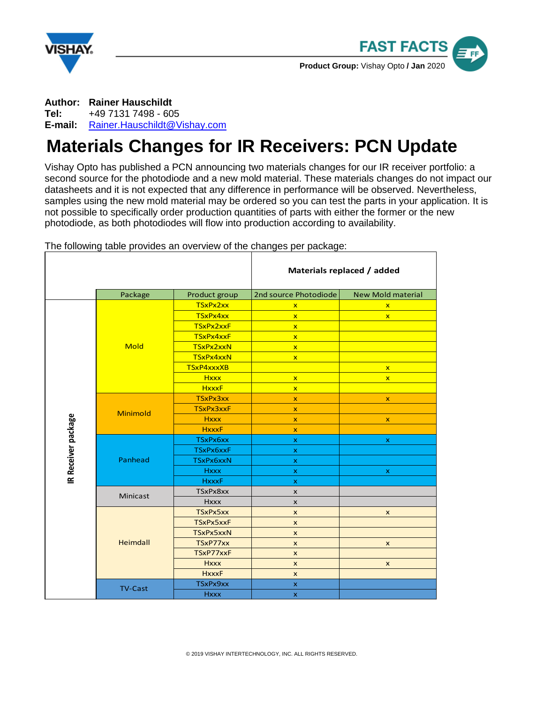



**Author: Rainer Hauschildt Tel:** +49 7131 7498 - 605 **E-mail:** [Rainer.Hauschildt@Vishay.com](mailto:Rainer.Hauschildt@Vishay.com)

## **Materials Changes for IR Receivers: PCN Update**

Vishay Opto has published a PCN announcing two materials changes for our IR receiver portfolio: a second source for the photodiode and a new mold material. These materials changes do not impact our datasheets and it is not expected that any difference in performance will be observed. Nevertheless, samples using the new mold material may be ordered so you can test the parts in your application. It is not possible to specifically order production quantities of parts with either the former or the new photodiode, as both photodiodes will flow into production according to availability.

|                     |                |               | Materials replaced / added |                          |
|---------------------|----------------|---------------|----------------------------|--------------------------|
|                     | Package        | Product group | 2nd source Photodiode      | <b>New Mold material</b> |
| IR Receiver package | <b>Mold</b>    | TSxPx2xx      | $\mathbf{x}$               | $\mathbf{x}$             |
|                     |                | TSxPx4xx      | $\mathbf{x}$               | $\overline{\mathbf{x}}$  |
|                     |                | TSxPx2xxF     | $\mathbf{x}$               |                          |
|                     |                | TSxPx4xxF     | $\overline{\mathbf{x}}$    |                          |
|                     |                | TSxPx2xxN     | $\overline{\mathbf{x}}$    |                          |
|                     |                | TSxPx4xxN     | $\overline{\mathbf{x}}$    |                          |
|                     |                | TSxP4xxxXB    |                            | $\mathbf{x}$             |
|                     |                | <b>Hxxx</b>   | $\mathbf{x}$               | $\mathbf{x}$             |
|                     |                | <b>HxxxF</b>  | $\overline{\mathbf{x}}$    |                          |
|                     | Minimold       | TSxPx3xx      | $\pmb{\times}$             | $\pmb{\mathsf{x}}$       |
|                     |                | TSxPx3xxF     | $\mathbf x$                |                          |
|                     |                | <b>Hxxx</b>   | $\pmb{\times}$             | $\pmb{\mathsf{x}}$       |
|                     |                | <b>HxxxF</b>  | $\boldsymbol{\mathsf{x}}$  |                          |
|                     | Panhead        | TSxPx6xx      | $\mathbf x$                | $\mathsf X$              |
|                     |                | TSxPx6xxF     | $\mathsf X$                |                          |
|                     |                | TSxPx6xxN     | $\mathsf X$                |                          |
|                     |                | <b>Hxxx</b>   | $\mathbf x$                | $\mathbf{x}$             |
|                     |                | <b>HxxxF</b>  | X.                         |                          |
|                     | Minicast       | TSxPx8xx      | X                          |                          |
|                     |                | <b>Hxxx</b>   | X                          |                          |
|                     | Heimdall       | TSxPx5xx      | $\mathsf{x}$               | $\pmb{\mathsf{x}}$       |
|                     |                | TSxPx5xxF     | $\mathsf{x}$               |                          |
|                     |                | TSxPx5xxN     | $\mathsf{x}$               |                          |
|                     |                | TSxP77xx      | $\pmb{\times}$             | $\pmb{\mathsf{x}}$       |
|                     |                | TSxP77xxF     | $\pmb{\times}$             |                          |
|                     |                | <b>Hxxx</b>   | $\mathsf{x}$               | X                        |
|                     |                | <b>HxxxF</b>  | $\mathsf{x}$               |                          |
|                     | <b>TV-Cast</b> | TSxPx9xx      | $\boldsymbol{\mathsf{x}}$  |                          |
|                     |                | <b>Hxxx</b>   | $\mathsf X$                |                          |

The following table provides an overview of the changes per package: